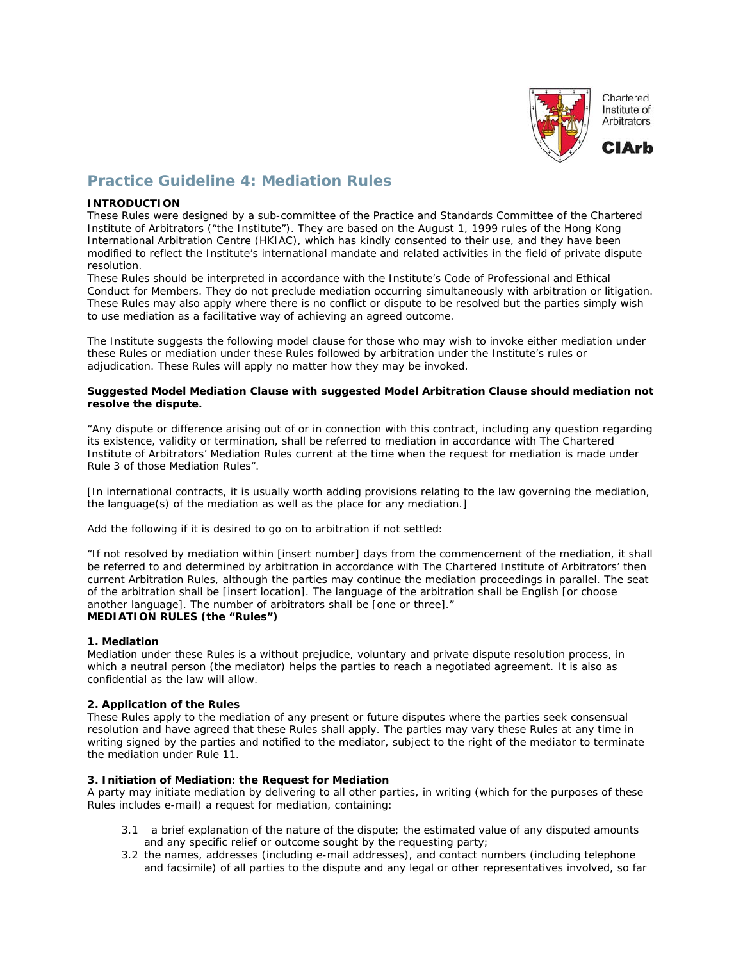

Chartered Institute of Arbitrators



# **Practice Guideline 4: Mediation Rules**

## **INTRODUCTION**

These Rules were designed by a sub-committee of the Practice and Standards Committee of the Chartered Institute of Arbitrators ("the Institute"). They are based on the August 1, 1999 rules of the Hong Kong International Arbitration Centre (HKIAC), which has kindly consented to their use, and they have been modified to reflect the Institute's international mandate and related activities in the field of private dispute resolution.

These Rules should be interpreted in accordance with the Institute's Code of Professional and Ethical Conduct for Members. They do not preclude mediation occurring simultaneously with arbitration or litigation. These Rules may also apply where there is no conflict or dispute to be resolved but the parties simply wish to use mediation as a facilitative way of achieving an agreed outcome.

The Institute suggests the following model clause for those who may wish to invoke either mediation under these Rules or mediation under these Rules followed by arbitration under the Institute's rules or adjudication. These Rules will apply no matter how they may be invoked.

### **Suggested Model Mediation Clause with suggested Model Arbitration Clause should mediation not resolve the dispute.**

"Any dispute or difference arising out of or in connection with this contract, including any question regarding its existence, validity or termination, shall be referred to mediation in accordance with The Chartered Institute of Arbitrators' Mediation Rules current at the time when the request for mediation is made under Rule 3 of those Mediation Rules".

[In international contracts, it is usually worth adding provisions relating to the law governing the mediation, the language(s) of the mediation as well as the place for any mediation.]

Add the following if it is desired to go on to arbitration if not settled:

"If not resolved by mediation within [insert number] days from the commencement of the mediation, it shall be referred to and determined by arbitration in accordance with The Chartered Institute of Arbitrators' then current Arbitration Rules, although the parties may continue the mediation proceedings in parallel. The seat of the arbitration shall be [insert location]. The language of the arbitration shall be English [or choose another language]. The number of arbitrators shall be [one or three]." **MEDIATION RULES (the "Rules")**

# **1. Mediation**

Mediation under these Rules is a without prejudice, voluntary and private dispute resolution process, in which a neutral person (the mediator) helps the parties to reach a negotiated agreement. It is also as confidential as the law will allow.

# **2. Application of the Rules**

These Rules apply to the mediation of any present or future disputes where the parties seek consensual resolution and have agreed that these Rules shall apply. The parties may vary these Rules at any time in writing signed by the parties and notified to the mediator, subject to the right of the mediator to terminate the mediation under Rule 11.

#### **3. Initiation of Mediation: the Request for Mediation**

A party may initiate mediation by delivering to all other parties, in writing (which for the purposes of these Rules includes e-mail) a request for mediation, containing:

- 3.1 a brief explanation of the nature of the dispute; the estimated value of any disputed amounts and any specific relief or outcome sought by the requesting party;
- 3.2 the names, addresses (including e-mail addresses), and contact numbers (including telephone and facsimile) of all parties to the dispute and any legal or other representatives involved, so far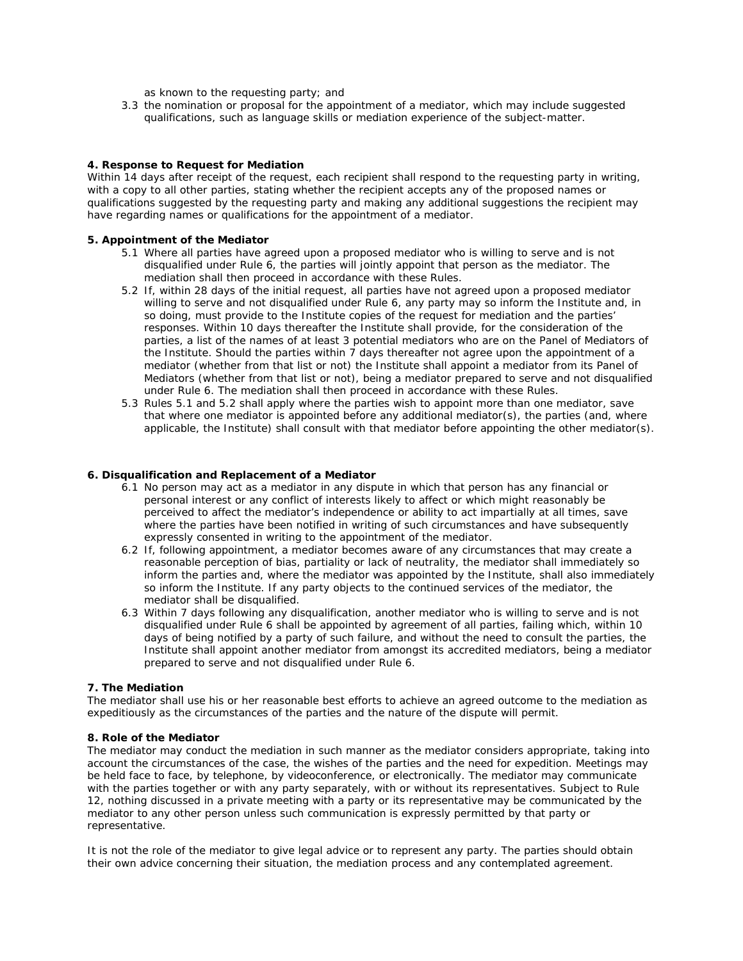as known to the requesting party; and

 3.3 the nomination or proposal for the appointment of a mediator, which may include suggested qualifications, such as language skills or mediation experience of the subject-matter.

## **4. Response to Request for Mediation**

Within 14 days after receipt of the request, each recipient shall respond to the requesting party in writing, with a copy to all other parties, stating whether the recipient accepts any of the proposed names or qualifications suggested by the requesting party and making any additional suggestions the recipient may have regarding names or qualifications for the appointment of a mediator.

### **5. Appointment of the Mediator**

- 5.1 Where all parties have agreed upon a proposed mediator who is willing to serve and is not disqualified under Rule 6, the parties will jointly appoint that person as the mediator. The mediation shall then proceed in accordance with these Rules.
- 5.2 If, within 28 days of the initial request, all parties have not agreed upon a proposed mediator willing to serve and not disqualified under Rule 6, any party may so inform the Institute and, in so doing, must provide to the Institute copies of the request for mediation and the parties' responses. Within 10 days thereafter the Institute shall provide, for the consideration of the parties, a list of the names of at least 3 potential mediators who are on the Panel of Mediators of the Institute. Should the parties within 7 days thereafter not agree upon the appointment of a mediator (whether from that list or not) the Institute shall appoint a mediator from its Panel of Mediators (whether from that list or not), being a mediator prepared to serve and not disqualified under Rule 6. The mediation shall then proceed in accordance with these Rules.
- 5.3 Rules 5.1 and 5.2 shall apply where the parties wish to appoint more than one mediator, save that where one mediator is appointed before any additional mediator(s), the parties (and, where applicable, the Institute) shall consult with that mediator before appointing the other mediator(s).

#### **6. Disqualification and Replacement of a Mediator**

- 6.1 No person may act as a mediator in any dispute in which that person has any financial or personal interest or any conflict of interests likely to affect or which might reasonably be perceived to affect the mediator's independence or ability to act impartially at all times, save where the parties have been notified in writing of such circumstances and have subsequently expressly consented in writing to the appointment of the mediator.
- 6.2 If, following appointment, a mediator becomes aware of any circumstances that may create a reasonable perception of bias, partiality or lack of neutrality, the mediator shall immediately so inform the parties and, where the mediator was appointed by the Institute, shall also immediately so inform the Institute. If any party objects to the continued services of the mediator, the mediator shall be disqualified.
- 6.3 Within 7 days following any disqualification, another mediator who is willing to serve and is not disqualified under Rule 6 shall be appointed by agreement of all parties, failing which, within 10 days of being notified by a party of such failure, and without the need to consult the parties, the Institute shall appoint another mediator from amongst its accredited mediators, being a mediator prepared to serve and not disqualified under Rule 6.

# **7. The Mediation**

The mediator shall use his or her reasonable best efforts to achieve an agreed outcome to the mediation as expeditiously as the circumstances of the parties and the nature of the dispute will permit.

#### **8. Role of the Mediator**

The mediator may conduct the mediation in such manner as the mediator considers appropriate, taking into account the circumstances of the case, the wishes of the parties and the need for expedition. Meetings may be held face to face, by telephone, by videoconference, or electronically. The mediator may communicate with the parties together or with any party separately, with or without its representatives. Subject to Rule 12, nothing discussed in a private meeting with a party or its representative may be communicated by the mediator to any other person unless such communication is expressly permitted by that party or representative.

It is not the role of the mediator to give legal advice or to represent any party. The parties should obtain their own advice concerning their situation, the mediation process and any contemplated agreement.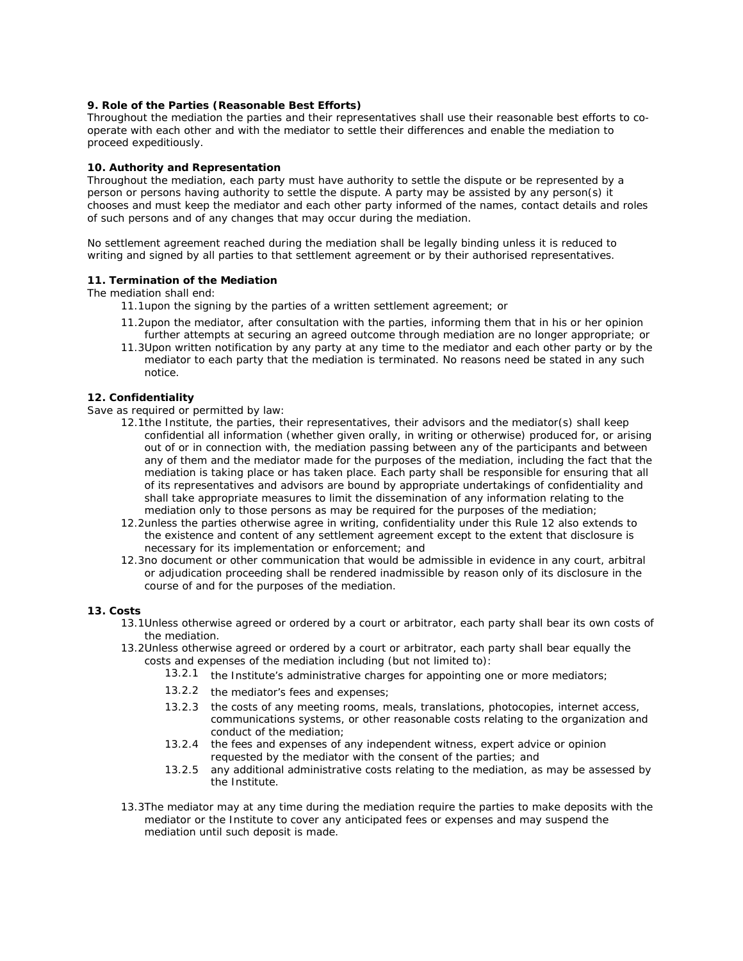#### **9. Role of the Parties (Reasonable Best Efforts)**

Throughout the mediation the parties and their representatives shall use their reasonable best efforts to cooperate with each other and with the mediator to settle their differences and enable the mediation to proceed expeditiously.

## **10. Authority and Representation**

Throughout the mediation, each party must have authority to settle the dispute or be represented by a person or persons having authority to settle the dispute. A party may be assisted by any person(s) it chooses and must keep the mediator and each other party informed of the names, contact details and roles of such persons and of any changes that may occur during the mediation.

No settlement agreement reached during the mediation shall be legally binding unless it is reduced to writing and signed by all parties to that settlement agreement or by their authorised representatives.

# **11. Termination of the Mediation**

The mediation shall end:

- 11.1upon the signing by the parties of a written settlement agreement; or
- 11.2upon the mediator, after consultation with the parties, informing them that in his or her opinion further attempts at securing an agreed outcome through mediation are no longer appropriate; or
- 11.3Upon written notification by any party at any time to the mediator and each other party or by the mediator to each party that the mediation is terminated. No reasons need be stated in any such notice.

### **12. Confidentiality**

Save as required or permitted by law:

- 12.1the Institute, the parties, their representatives, their advisors and the mediator(s) shall keep confidential all information (whether given orally, in writing or otherwise) produced for, or arising out of or in connection with, the mediation passing between any of the participants and between any of them and the mediator made for the purposes of the mediation, including the fact that the mediation is taking place or has taken place. Each party shall be responsible for ensuring that all of its representatives and advisors are bound by appropriate undertakings of confidentiality and shall take appropriate measures to limit the dissemination of any information relating to the mediation only to those persons as may be required for the purposes of the mediation;
- 12.2unless the parties otherwise agree in writing, confidentiality under this Rule 12 also extends to the existence and content of any settlement agreement except to the extent that disclosure is necessary for its implementation or enforcement; and
- 12.3no document or other communication that would be admissible in evidence in any court, arbitral or adjudication proceeding shall be rendered inadmissible by reason only of its disclosure in the course of and for the purposes of the mediation.

#### **13. Costs**

- 13.1Unless otherwise agreed or ordered by a court or arbitrator, each party shall bear its own costs of the mediation.
- 13.2Unless otherwise agreed or ordered by a court or arbitrator, each party shall bear equally the costs and expenses of the mediation including (but not limited to):
	- 13.2.1 the Institute's administrative charges for appointing one or more mediators;
	- 13.2.2 the mediator's fees and expenses;
	- 13.2.3 the costs of any meeting rooms, meals, translations, photocopies, internet access, communications systems, or other reasonable costs relating to the organization and conduct of the mediation;
		- 13.2.4 the fees and expenses of any independent witness, expert advice or opinion requested by the mediator with the consent of the parties; and
		- 13.2.5 any additional administrative costs relating to the mediation, as may be assessed by the Institute.
- 13.3The mediator may at any time during the mediation require the parties to make deposits with the mediator or the Institute to cover any anticipated fees or expenses and may suspend the mediation until such deposit is made.